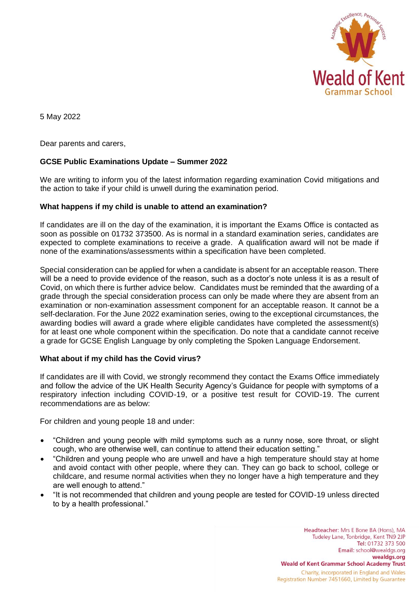

5 May 2022

Dear parents and carers,

# **GCSE Public Examinations Update – Summer 2022**

We are writing to inform you of the latest information regarding examination Covid mitigations and the action to take if your child is unwell during the examination period.

# **What happens if my child is unable to attend an examination?**

If candidates are ill on the day of the examination, it is important the Exams Office is contacted as soon as possible on 01732 373500. As is normal in a standard examination series, candidates are expected to complete examinations to receive a grade. A qualification award will not be made if none of the examinations/assessments within a specification have been completed.

Special consideration can be applied for when a candidate is absent for an acceptable reason. There will be a need to provide evidence of the reason, such as a doctor's note unless it is as a result of Covid, on which there is further advice below. Candidates must be reminded that the awarding of a grade through the special consideration process can only be made where they are absent from an examination or non-examination assessment component for an acceptable reason. It cannot be a self-declaration. For the June 2022 examination series, owing to the exceptional circumstances, the awarding bodies will award a grade where eligible candidates have completed the assessment(s) for at least one whole component within the specification. Do note that a candidate cannot receive a grade for GCSE English Language by only completing the Spoken Language Endorsement.

# **What about if my child has the Covid virus?**

If candidates are ill with Covid, we strongly recommend they contact the Exams Office immediately and follow the advice of the UK Health Security Agency's Guidance for people with symptoms of a respiratory infection including COVID-19, or a positive test result for COVID-19. The current recommendations are as below:

For children and young people 18 and under:

- "Children and young people with mild symptoms such as a runny nose, sore throat, or slight cough, who are otherwise well, can continue to attend their education setting."
- "Children and young people who are unwell and have a high temperature should stay at home and avoid contact with other people, where they can. They can go back to school, college or childcare, and resume normal activities when they no longer have a high temperature and they are well enough to attend."
- "It is not recommended that children and young people are tested for COVID-19 unless directed to by a health professional."

Headteacher: Mrs E Bone BA (Hons), MA Tudeley Lane, Tonbridge, Kent TN9 2JP Tel: 01732 373 500 Email: school@wealdgs.org wealdgs.org **Weald of Kent Grammar School Academy Trust** Charity, incorporated in England and Wales Registration Number 7451660, Limited by Guarantee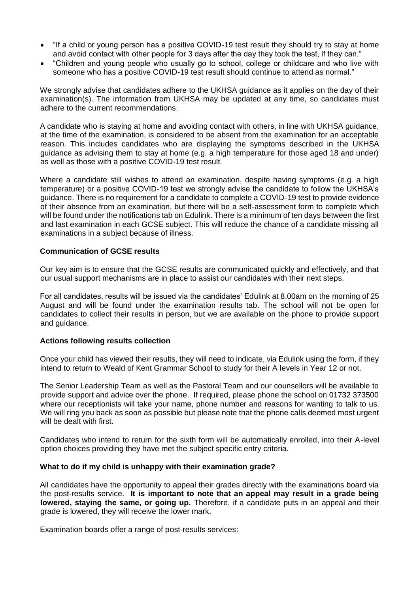- "If a child or young person has a positive COVID-19 test result they should try to stay at home and avoid contact with other people for 3 days after the day they took the test, if they can."
- "Children and young people who usually go to school, college or childcare and who live with someone who has a positive COVID-19 test result should continue to attend as normal."

We strongly advise that candidates adhere to the UKHSA guidance as it applies on the day of their examination(s). The information from UKHSA may be updated at any time, so candidates must adhere to the current recommendations.

A candidate who is staying at home and avoiding contact with others, in line with UKHSA guidance, at the time of the examination, is considered to be absent from the examination for an acceptable reason. This includes candidates who are displaying the symptoms described in the UKHSA guidance as advising them to stay at home (e.g. a high temperature for those aged 18 and under) as well as those with a positive COVID-19 test result.

Where a candidate still wishes to attend an examination, despite having symptoms (e.g. a high temperature) or a positive COVID-19 test we strongly advise the candidate to follow the UKHSA's guidance. There is no requirement for a candidate to complete a COVID-19 test to provide evidence of their absence from an examination, but there will be a self-assessment form to complete which will be found under the notifications tab on Edulink. There is a minimum of ten days between the first and last examination in each GCSE subject. This will reduce the chance of a candidate missing all examinations in a subject because of illness.

### **Communication of GCSE results**

Our key aim is to ensure that the GCSE results are communicated quickly and effectively, and that our usual support mechanisms are in place to assist our candidates with their next steps.

For all candidates, results will be issued via the candidates' Edulink at 8.00am on the morning of 25 August and will be found under the examination results tab*.* The school will not be open for candidates to collect their results in person, but we are available on the phone to provide support and guidance.

# **Actions following results collection**

Once your child has viewed their results, they will need to indicate, via Edulink using the form, if they intend to return to Weald of Kent Grammar School to study for their A levels in Year 12 or not.

The Senior Leadership Team as well as the Pastoral Team and our counsellors will be available to provide support and advice over the phone. If required, please phone the school on 01732 373500 where our receptionists will take your name, phone number and reasons for wanting to talk to us. We will ring you back as soon as possible but please note that the phone calls deemed most urgent will be dealt with first.

Candidates who intend to return for the sixth form will be automatically enrolled, into their A-level option choices providing they have met the subject specific entry criteria.

#### **What to do if my child is unhappy with their examination grade?**

All candidates have the opportunity to appeal their grades directly with the examinations board via the post-results service. **It is important to note that an appeal may result in a grade being lowered, staying the same, or going up.** Therefore, if a candidate puts in an appeal and their grade is lowered, they will receive the lower mark.

Examination boards offer a range of post-results services: